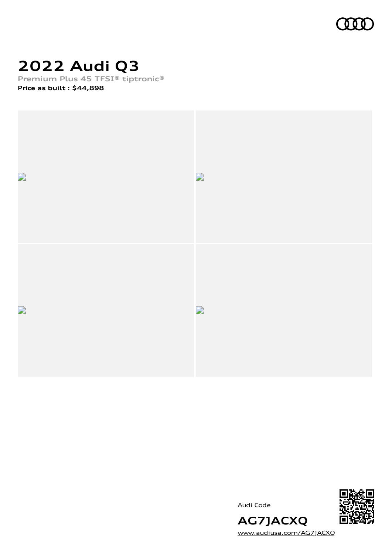

# **2022 Audi Q3**

**Premium Plus 45 TFSI® tiptronic®**

**Price as built [:](#page-10-0) \$44,898**



Audi Code



[www.audiusa.com/AG7JACXQ](https://www.audiusa.com/AG7JACXQ)

**AG7JACXQ**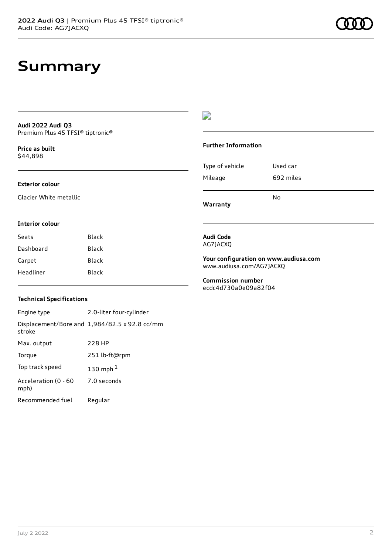# **Summary**

**Audi 2022 Audi Q3** Premium Plus 45 TFSI® tiptronic®

**Price as buil[t](#page-10-0)** \$44,898

#### **Exterior colour**

Glacier White metallic

#### D

#### **Further Information**

Type of vehicle Used car Mileage 692 miles No

**Warranty**

#### **Interior colour**

Seats Black Dashboard Black Carpet Black Headliner Black

#### **Audi Code** AG7JACXQ

**Your configuration on www.audiusa.com** [www.audiusa.com/AG7JACXQ](https://www.audiusa.com/AG7JACXQ)

**Commission number** ecdc4d730a0e09a82f04

#### **Technical Specifications**

Engine type 2.0-liter four-cylinder Displacement/Bore and 1,984/82.5 x 92.8 cc/mm stroke Max. output 228 HP Torque 251 lb-ft@rpm Top track speed [1](#page-10-0)30 mph $<sup>1</sup>$ </sup> Acceleration (0 - 60 mph) 7.0 seconds Recommended fuel Regular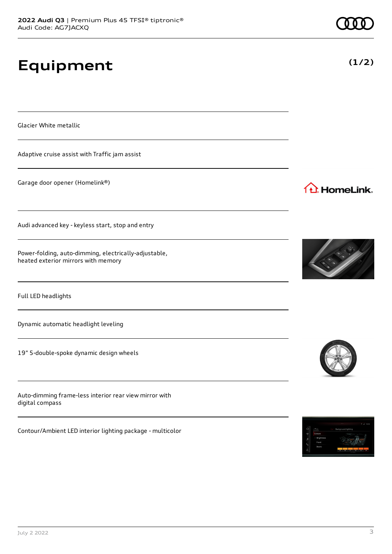# **Equipment**

Glacier White metallic

Adaptive cruise assist with Traffic jam assist

Garage door opener (Homelink®)

Audi advanced key - keyless start, stop and entry

Power-folding, auto-dimming, electrically-adjustable, heated exterior mirrors with memory

Full LED headlights

Dynamic automatic headlight leveling

19" 5-double-spoke dynamic design wheels

Auto-dimming frame-less interior rear view mirror with digital compass

Contour/Ambient LED interior lighting package - multicolor





### 1<sup>1</sup> HomeLink.



**(1/2)**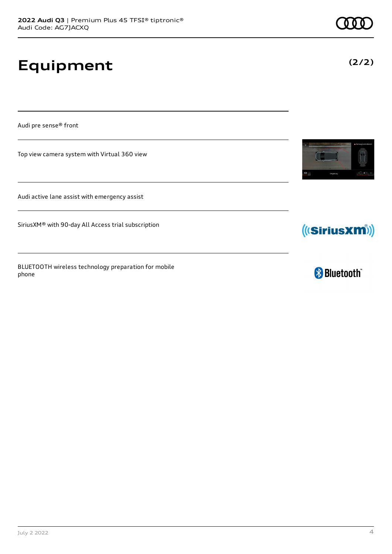# **Equipment**

Audi pre sense® front

Top view camera system with Virtual 360 view

Audi active lane assist with emergency assist

SiriusXM® with 90-day All Access trial subscription

BLUETOOTH wireless technology preparation for mobile phone





**& Bluetooth** 

**(2/2)**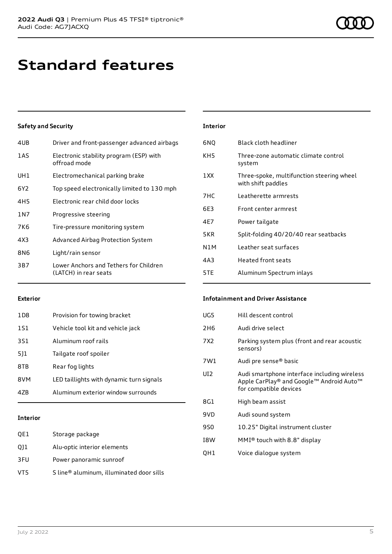## **Standard features**

#### **Safety and Security**

| 4UB             | Driver and front-passenger advanced airbags                     |
|-----------------|-----------------------------------------------------------------|
| 1AS             | Electronic stability program (ESP) with<br>offroad mode         |
| UH1             | Electromechanical parking brake                                 |
| 6Y2             | Top speed electronically limited to 130 mph                     |
| 4H <sub>5</sub> | Electronic rear child door locks                                |
| 1 N 7           | Progressive steering                                            |
| 7K6             | Tire-pressure monitoring system                                 |
| 4X3             | Advanced Airbag Protection System                               |
| 8N6             | Light/rain sensor                                               |
| 3B7             | Lower Anchors and Tethers for Children<br>(LATCH) in rear seats |

### **Interior** 6NQ Black cloth headliner KH5 Three-zone automatic climate control system 1XX Three-spoke, multifunction steering wheel with shift paddles 7HC Leatherette armrests 6E3 Front center armrest 4E7 Power tailgate 5KR Split-folding 40/20/40 rear seatbacks N1M Leather seat surfaces 4A3 Heated front seats 5TE Aluminum Spectrum inlays

#### **Exterior**

| 1 D 8 | Provision for towing bracket             |
|-------|------------------------------------------|
| 1S1   | Vehicle tool kit and vehicle jack        |
| 3S1   | Aluminum roof rails                      |
| 5]1   | Tailgate roof spoiler                    |
| 8TB   | Rear fog lights                          |
| 8VM   | LED taillights with dynamic turn signals |
| 47B   | Aluminum exterior window surrounds       |
|       |                                          |

#### **Interior**

| QE1 | Storage package                          |
|-----|------------------------------------------|
| Q11 | Alu-optic interior elements              |
| 3FU | Power panoramic sunroof                  |
| VT5 | S line® aluminum, illuminated door sills |

#### **Infotainment and Driver Assistance**

| UG5             | Hill descent control                                                                                               |
|-----------------|--------------------------------------------------------------------------------------------------------------------|
| 2H6             | Audi drive select                                                                                                  |
| 7X2             | Parking system plus (front and rear acoustic<br>sensors)                                                           |
| 7W1             | Audi pre sense <sup>®</sup> basic                                                                                  |
| UI <sub>2</sub> | Audi smartphone interface including wireless<br>Apple CarPlay® and Google™ Android Auto™<br>for compatible devices |
| 8G1             | High beam assist                                                                                                   |
| 9VD             | Audi sound system                                                                                                  |
| 9S0             | 10.25" Digital instrument cluster                                                                                  |
| I8W             | MMI® touch with 8.8" display                                                                                       |
| QH1             | Voice dialogue system                                                                                              |
|                 |                                                                                                                    |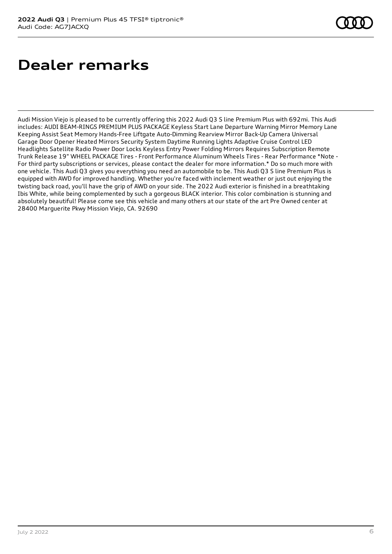# **Dealer remarks**

Audi Mission Viejo is pleased to be currently offering this 2022 Audi Q3 S line Premium Plus with 692mi. This Audi includes: AUDI BEAM-RINGS PREMIUM PLUS PACKAGE Keyless Start Lane Departure Warning Mirror Memory Lane Keeping Assist Seat Memory Hands-Free Liftgate Auto-Dimming Rearview Mirror Back-Up Camera Universal Garage Door Opener Heated Mirrors Security System Daytime Running Lights Adaptive Cruise Control LED Headlights Satellite Radio Power Door Locks Keyless Entry Power Folding Mirrors Requires Subscription Remote Trunk Release 19" WHEEL PACKAGE Tires - Front Performance Aluminum Wheels Tires - Rear Performance \*Note - For third party subscriptions or services, please contact the dealer for more information.\* Do so much more with one vehicle. This Audi Q3 gives you everything you need an automobile to be. This Audi Q3 S line Premium Plus is equipped with AWD for improved handling. Whether you're faced with inclement weather or just out enjoying the twisting back road, you'll have the grip of AWD on your side. The 2022 Audi exterior is finished in a breathtaking Ibis White, while being complemented by such a gorgeous BLACK interior. This color combination is stunning and absolutely beautiful! Please come see this vehicle and many others at our state of the art Pre Owned center at 28400 Marguerite Pkwy Mission Viejo, CA. 92690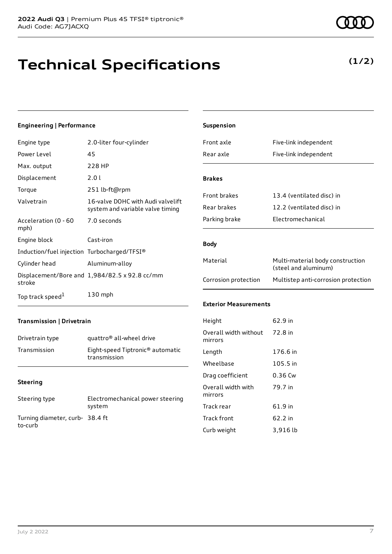# **Technical Specifications**

#### **Engineering | Performance**

| Engine type                                 | 2.0-liter four-cylinder                                               |
|---------------------------------------------|-----------------------------------------------------------------------|
| Power Level                                 | 45                                                                    |
| Max. output                                 | 228 HP                                                                |
| Displacement                                | 2.01                                                                  |
| Torque                                      | 251 lb-ft@rpm                                                         |
| Valvetrain                                  | 16-valve DOHC with Audi valvelift<br>system and variable valve timing |
| Acceleration (0 - 60<br>mph)                | 7.0 seconds                                                           |
| Engine block                                | Cast-iron                                                             |
| Induction/fuel injection Turbocharged/TFSI® |                                                                       |
| Cylinder head                               | Aluminum-alloy                                                        |
| stroke                                      | Displacement/Bore and 1,984/82.5 x 92.8 cc/mm                         |
| Top track speed <sup>1</sup>                | 130 mph                                                               |

| Suspension                       |                                                          |  |
|----------------------------------|----------------------------------------------------------|--|
| Front axle                       | Five-link independent                                    |  |
| Rear axle                        | Five-link independent                                    |  |
| <b>Brakes</b>                    |                                                          |  |
| Front brakes                     | 13.4 (ventilated disc) in                                |  |
| Rear brakes                      | 12.2 (ventilated disc) in                                |  |
| Parking brake                    | Electromechanical                                        |  |
| <b>Body</b>                      |                                                          |  |
| Material                         | Multi-material body construction<br>(steel and aluminum) |  |
| Corrosion protection             | Multistep anti-corrosion protection                      |  |
| <b>Exterior Measurements</b>     |                                                          |  |
| Height                           | 62.9 in                                                  |  |
| Overall width without<br>mirrors | 72.8 in                                                  |  |
| Length                           | 176.6 in                                                 |  |
| Wheelbase                        | 105.5 in                                                 |  |
| Drag coefficient                 | 0.36 Cw                                                  |  |
| Overall width with<br>mirrors    | 79.7 in                                                  |  |

#### **Transmission | Drivetrain**

| Drivetrain type | quattro <sup>®</sup> all-wheel drive                         |
|-----------------|--------------------------------------------------------------|
| Transmission    | Eight-speed Tiptronic <sup>®</sup> automatic<br>transmission |

#### **Steering**

| Steering type                             | Electromechanical power steering<br>system |
|-------------------------------------------|--------------------------------------------|
| Turning diameter, curb-38.4 ft<br>to-curb |                                            |

### Track rear 61.9 in Track front 62.2 in Curb weight 3,916 lb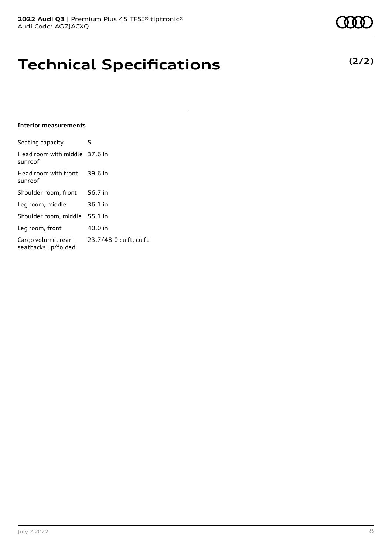# **Technical Specifications**

#### **Interior measurements**

| Seating capacity                          | 5                      |
|-------------------------------------------|------------------------|
| Head room with middle 37.6 in<br>sunroof  |                        |
| Head room with front<br>sunroof           | 39.6 in                |
| Shoulder room, front                      | 56.7 in                |
| Leg room, middle                          | 36.1 in                |
| Shoulder room, middle                     | 55.1 in                |
| Leg room, front                           | 40.0 in                |
| Cargo volume, rear<br>seatbacks up/folded | 23.7/48.0 cu ft, cu ft |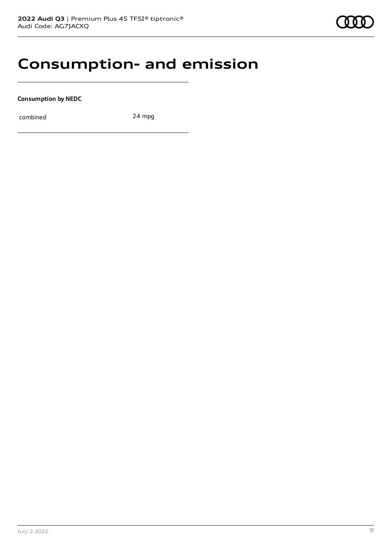### **Consumption- and emission**

**Consumption by NEDC**

combined 24 mpg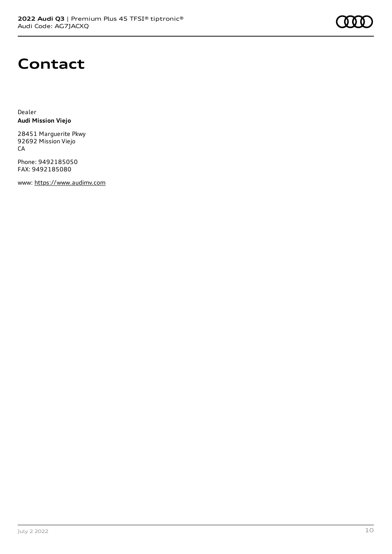

### **Contact**

Dealer **Audi Mission Viejo**

28451 Marguerite Pkwy 92692 Mission Viejo CA

Phone: 9492185050 FAX: 9492185080

www: [https://www.audimv.com](https://www.audimv.com/)